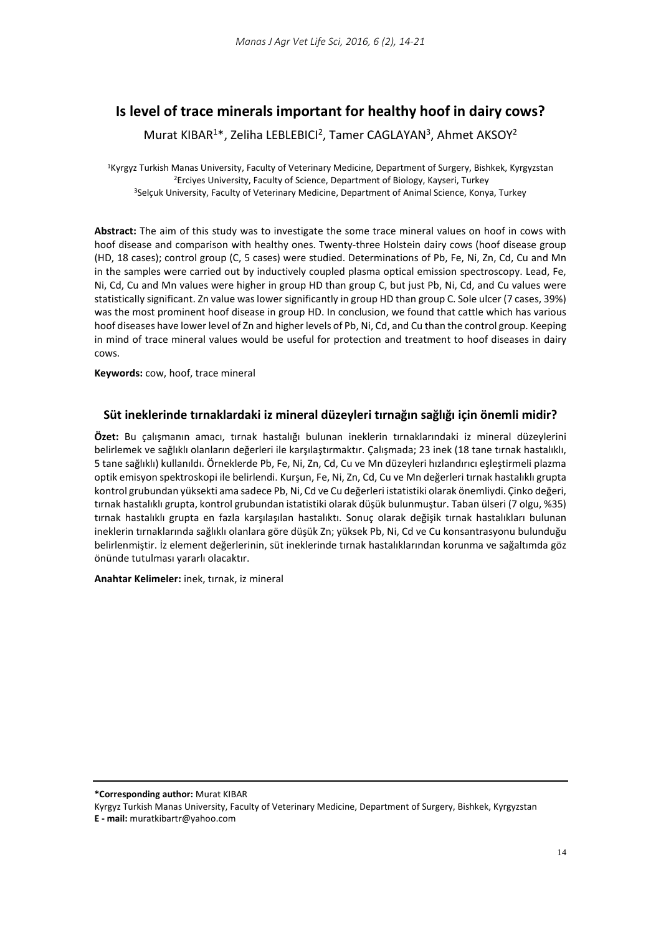# **Is level of trace minerals important for healthy hoof in dairy cows?**

Murat KIBAR<sup>1\*</sup>, Zeliha LEBLEBICI<sup>2</sup>, Tamer CAGLAYAN<sup>3</sup>, Ahmet AKSOY<sup>2</sup>

<sup>1</sup>Kyrgyz Turkish Manas University, Faculty of Veterinary Medicine, Department of Surgery, Bishkek, Kyrgyzstan 2Erciyes University, Faculty of Science, Department of Biology, Kayseri, Turkey 3Selçuk University, Faculty of Veterinary Medicine, Department of Animal Science, Konya, Turkey

**Abstract:** The aim of this study was to investigate the some trace mineral values on hoof in cows with hoof disease and comparison with healthy ones. Twenty-three Holstein dairy cows (hoof disease group (HD, 18 cases); control group (C, 5 cases) were studied. Determinations of Pb, Fe, Ni, Zn, Cd, Cu and Mn in the samples were carried out by inductively coupled plasma optical emission spectroscopy. Lead, Fe, Ni, Cd, Cu and Mn values were higher in group HD than group C, but just Pb, Ni, Cd, and Cu values were statistically significant. Zn value was lower significantly in group HD than group C. Sole ulcer (7 cases, 39%) was the most prominent hoof disease in group HD. In conclusion, we found that cattle which has various hoof diseases have lower level of Zn and higher levels of Pb, Ni, Cd, and Cu than the control group. Keeping in mind of trace mineral values would be useful for protection and treatment to hoof diseases in dairy cows.

**Keywords:** cow, hoof, trace mineral

# **Süt ineklerinde tırnaklardaki iz mineral düzeyleri tırnağın sağlığı için önemli midir?**

**Özet:** Bu çalışmanın amacı, tırnak hastalığı bulunan ineklerin tırnaklarındaki iz mineral düzeylerini belirlemek ve sağlıklı olanların değerleri ile karşılaştırmaktır. Çalışmada; 23 inek (18 tane tırnak hastalıklı, 5 tane sağlıklı) kullanıldı. Örneklerde Pb, Fe, Ni, Zn, Cd, Cu ve Mn düzeyleri hızlandırıcı eşleştirmeli plazma optik emisyon spektroskopi ile belirlendi. Kurşun, Fe, Ni, Zn, Cd, Cu ve Mn değerleri tırnak hastalıklı grupta kontrol grubundan yüksekti ama sadece Pb, Ni, Cd ve Cu değerleri istatistiki olarak önemliydi. Çinko değeri, tırnak hastalıklı grupta, kontrol grubundan istatistiki olarak düşük bulunmuştur. Taban ülseri (7 olgu, %35) tırnak hastalıklı grupta en fazla karşılaşılan hastalıktı. Sonuç olarak değişik tırnak hastalıkları bulunan ineklerin tırnaklarında sağlıklı olanlara göre düşük Zn; yüksek Pb, Ni, Cd ve Cu konsantrasyonu bulunduğu belirlenmiştir. İz element değerlerinin, süt ineklerinde tırnak hastalıklarından korunma ve sağaltımda göz önünde tutulması yararlı olacaktır.

**Anahtar Kelimeler:** inek, tırnak, iz mineral

**\*Corresponding author:** Murat KIBAR

Kyrgyz Turkish Manas University, Faculty of Veterinary Medicine, Department of Surgery, Bishkek, Kyrgyzstan

**E - mail:** muratkibartr@yahoo.com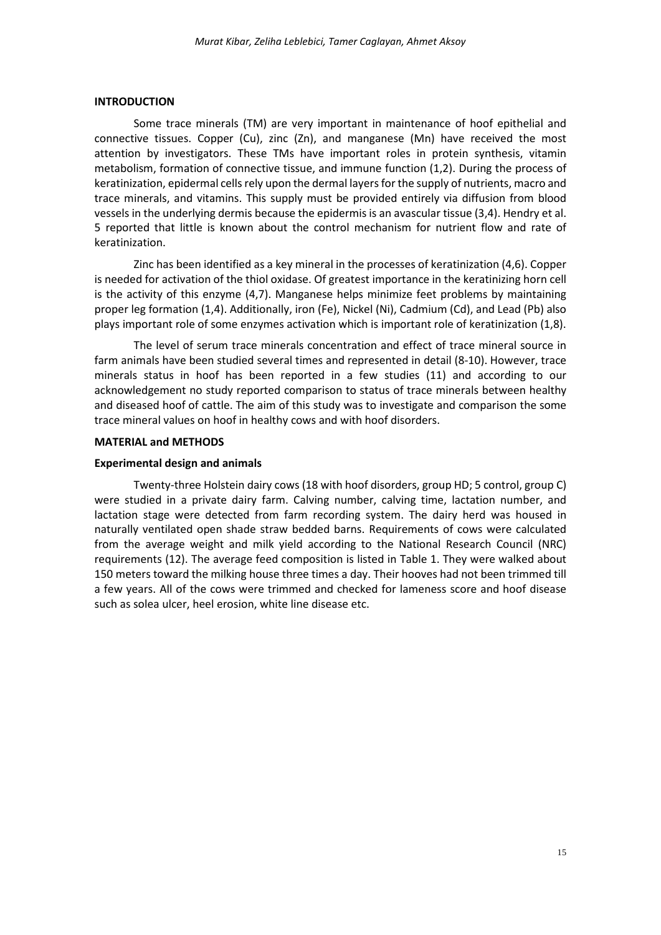### **INTRODUCTION**

Some trace minerals (TM) are very important in maintenance of hoof epithelial and connective tissues. Copper (Cu), zinc (Zn), and manganese (Mn) have received the most attention by investigators. These TMs have important roles in protein synthesis, vitamin metabolism, formation of connective tissue, and immune function (1,2). During the process of keratinization, epidermal cells rely upon the dermal layers for the supply of nutrients, macro and trace minerals, and vitamins. This supply must be provided entirely via diffusion from blood vessels in the underlying dermis because the epidermis is an avascular tissue (3,4). Hendry et al. 5 reported that little is known about the control mechanism for nutrient flow and rate of keratinization.

Zinc has been identified as a key mineral in the processes of keratinization (4,6). Copper is needed for activation of the thiol oxidase. Of greatest importance in the keratinizing horn cell is the activity of this enzyme (4,7). Manganese helps minimize feet problems by maintaining proper leg formation (1,4). Additionally, iron (Fe), Nickel (Ni), Cadmium (Cd), and Lead (Pb) also plays important role of some enzymes activation which is important role of keratinization (1,8).

The level of serum trace minerals concentration and effect of trace mineral source in farm animals have been studied several times and represented in detail (8-10). However, trace minerals status in hoof has been reported in a few studies (11) and according to our acknowledgement no study reported comparison to status of trace minerals between healthy and diseased hoof of cattle. The aim of this study was to investigate and comparison the some trace mineral values on hoof in healthy cows and with hoof disorders.

#### **MATERIAL and METHODS**

## **Experimental design and animals**

Twenty-three Holstein dairy cows (18 with hoof disorders, group HD; 5 control, group C) were studied in a private dairy farm. Calving number, calving time, lactation number, and lactation stage were detected from farm recording system. The dairy herd was housed in naturally ventilated open shade straw bedded barns. Requirements of cows were calculated from the average weight and milk yield according to the National Research Council (NRC) requirements (12). The average feed composition is listed in Table 1. They were walked about 150 meters toward the milking house three times a day. Their hooves had not been trimmed till a few years. All of the cows were trimmed and checked for lameness score and hoof disease such as solea ulcer, heel erosion, white line disease etc.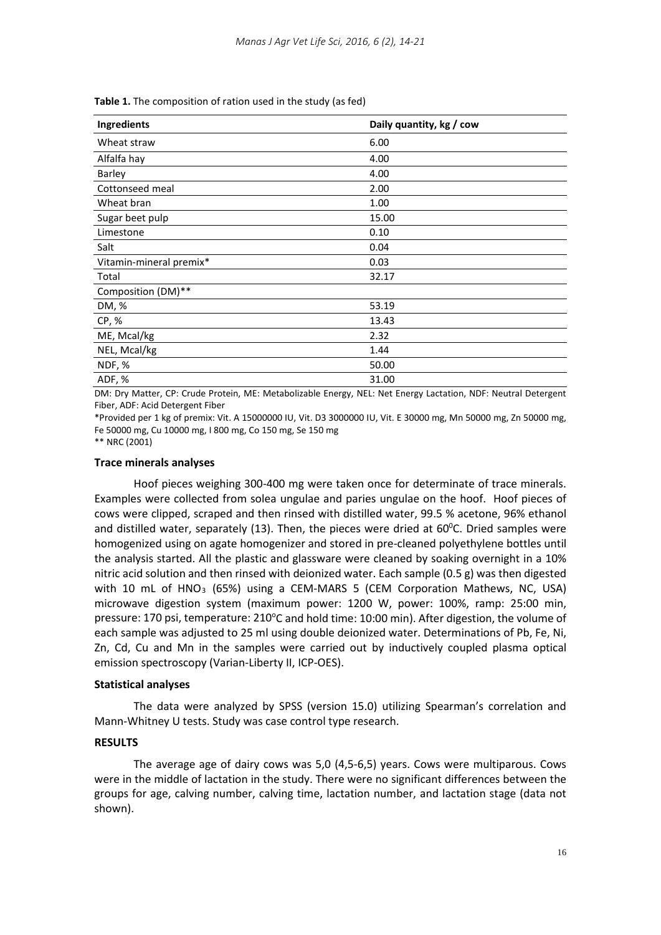| Ingredients             | Daily quantity, kg / cow |
|-------------------------|--------------------------|
| Wheat straw             | 6.00                     |
| Alfalfa hay             | 4.00                     |
| Barley                  | 4.00                     |
| Cottonseed meal         | 2.00                     |
| Wheat bran              | 1.00                     |
| Sugar beet pulp         | 15.00                    |
| Limestone               | 0.10                     |
| Salt                    | 0.04                     |
| Vitamin-mineral premix* | 0.03                     |
| Total                   | 32.17                    |
| Composition (DM)**      |                          |
| DM, %                   | 53.19                    |
| CP, %                   | 13.43                    |
| ME, Mcal/kg             | 2.32                     |
| NEL, Mcal/kg            | 1.44                     |
| NDF, %                  | 50.00                    |
| ADF, %                  | 31.00                    |

**Table 1.** The composition of ration used in the study (as fed)

DM: Dry Matter, CP: Crude Protein, ME: Metabolizable Energy, NEL: Net Energy Lactation, NDF: Neutral Detergent Fiber, ADF: Acid Detergent Fiber

\*Provided per 1 kg of premix: Vit. A 15000000 IU, Vit. D3 3000000 IU, Vit. E 30000 mg, Mn 50000 mg, Zn 50000 mg, Fe 50000 mg, Cu 10000 mg, I 800 mg, Co 150 mg, Se 150 mg

\*\* NRC (2001)

#### **Trace minerals analyses**

Hoof pieces weighing 300-400 mg were taken once for determinate of trace minerals. Examples were collected from solea ungulae and paries ungulae on the hoof. Hoof pieces of cows were clipped, scraped and then rinsed with distilled water, 99.5 % acetone, 96% ethanol and distilled water, separately (13). Then, the pieces were dried at  $60^{\circ}$ C. Dried samples were homogenized using on agate homogenizer and stored in pre-cleaned polyethylene bottles until the analysis started. All the plastic and glassware were cleaned by soaking overnight in a 10% nitric acid solution and then rinsed with deionized water. Each sample (0.5 g) was then digested with 10 mL of HNO<sub>3</sub> (65%) using a CEM-MARS 5 (CEM Corporation Mathews, NC, USA) microwave digestion system (maximum power: 1200 W, power: 100%, ramp: 25:00 min, pressure: 170 psi, temperature: 210°C and hold time: 10:00 min). After digestion, the volume of each sample was adjusted to 25 ml using double deionized water. Determinations of Pb, Fe, Ni, Zn, Cd, Cu and Mn in the samples were carried out by inductively coupled plasma optical emission spectroscopy (Varian-Liberty II, ICP-OES).

# **Statistical analyses**

The data were analyzed by SPSS (version 15.0) utilizing Spearman's correlation and Mann-Whitney U tests. Study was case control type research.

# **RESULTS**

The average age of dairy cows was 5,0 (4,5-6,5) years. Cows were multiparous. Cows were in the middle of lactation in the study. There were no significant differences between the groups for age, calving number, calving time, lactation number, and lactation stage (data not shown).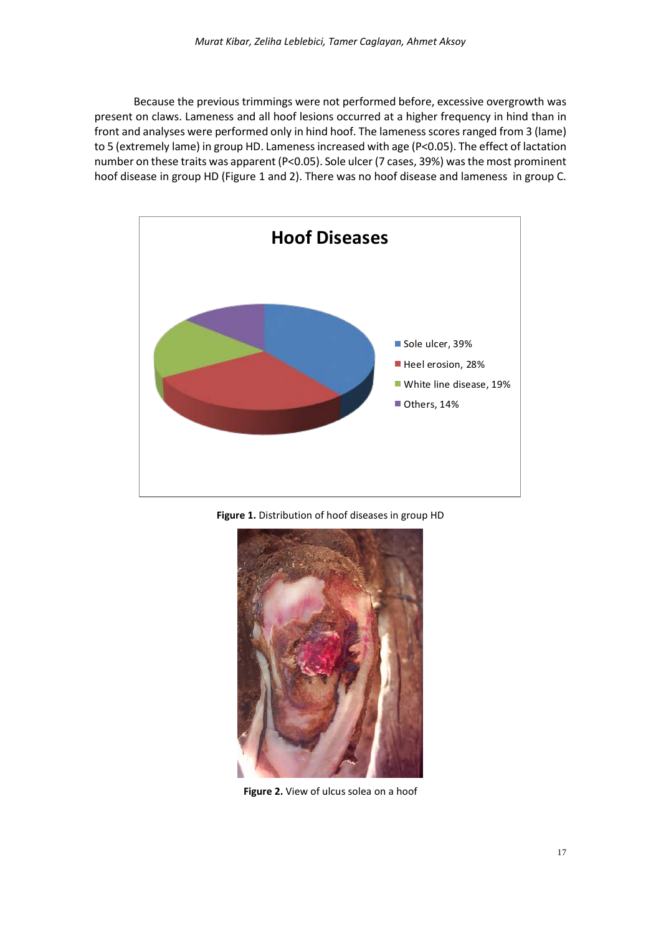Because the previous trimmings were not performed before, excessive overgrowth was present on claws. Lameness and all hoof lesions occurred at a higher frequency in hind than in front and analyses were performed only in hind hoof. The lameness scores ranged from 3 (lame) to 5 (extremely lame) in group HD. Lameness increased with age (P<0.05). The effect of lactation number on these traits was apparent (P<0.05). Sole ulcer (7 cases, 39%) was the most prominent hoof disease in group HD (Figure 1 and 2). There was no hoof disease and lameness in group C.







**Figure 2.** View of ulcus solea on a hoof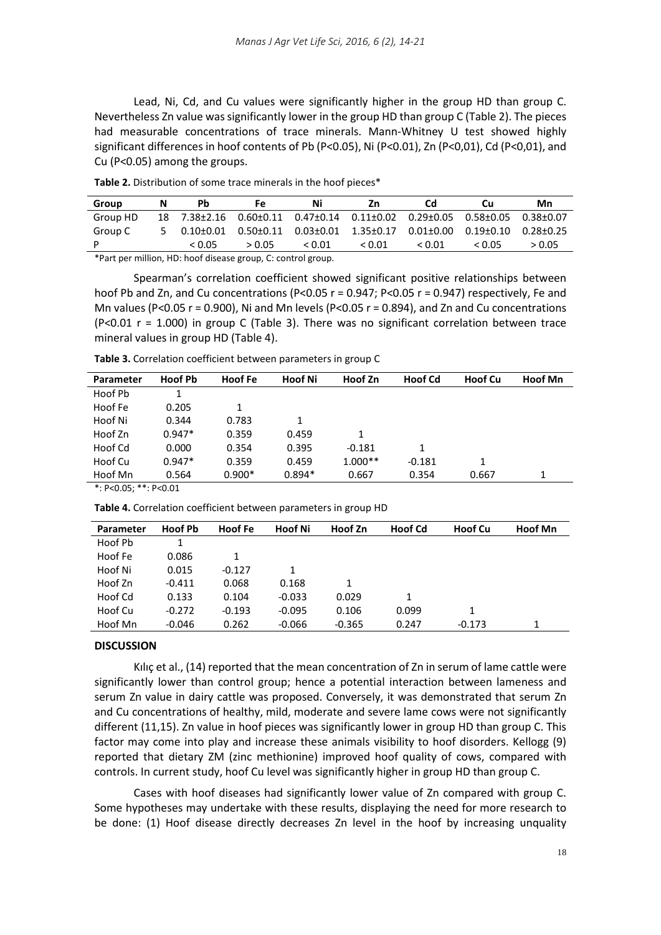Lead, Ni, Cd, and Cu values were significantly higher in the group HD than group C. Nevertheless Zn value was significantly lower in the group HD than group C (Table 2). The pieces had measurable concentrations of trace minerals. Mann-Whitney U test showed highly significant differences in hoof contents of Pb (P˂0.05), Ni (P˂0.01), Zn (P˂0,01), Cd (P˂0,01), and Cu (P˂0.05) among the groups.

| Group    | Pb     | Fe     | Ni                                                                              | Ζn     | <b>Cd</b> | Сu     | Mn     |
|----------|--------|--------|---------------------------------------------------------------------------------|--------|-----------|--------|--------|
| Group HD |        |        | 18  7.38±2.16  0.60±0.11  0.47±0.14  0.11±0.02  0.29±0.05  0.58±0.05  0.38±0.07 |        |           |        |        |
| Group C  |        |        | $5$ 0.10±0.01 0.50±0.11 0.03±0.01 1.35±0.17 0.01±0.00 0.19±0.10 0.28±0.25       |        |           |        |        |
|          | < 0.05 | > 0.05 | < 0.01                                                                          | < 0.01 | < 0.01    | < 0.05 | > 0.05 |
|          |        |        |                                                                                 |        |           |        |        |

**Table 2.** Distribution of some trace minerals in the hoof pieces\*

\*Part per million, HD: hoof disease group, C: control group.

Spearman's correlation coefficient showed significant positive relationships between hoof Pb and Zn, and Cu concentrations (P<0.05 r = 0.947; P<0.05 r = 0.947) respectively, Fe and Mn values (P<0.05  $r = 0.900$ ), Ni and Mn levels (P<0.05  $r = 0.894$ ), and Zn and Cu concentrations  $(P<0.01$  r = 1.000) in group C (Table 3). There was no significant correlation between trace mineral values in group HD (Table 4).

| Table 3. Correlation coefficient between parameters in group C |
|----------------------------------------------------------------|
|                                                                |

| <b>Parameter</b> | <b>Hoof Pb</b> | <b>Hoof Fe</b> | <b>Hoof Ni</b> | Hoof Zn   | <b>Hoof Cd</b> | <b>Hoof Cu</b> | <b>Hoof Mn</b> |  |
|------------------|----------------|----------------|----------------|-----------|----------------|----------------|----------------|--|
| Hoof Pb          |                |                |                |           |                |                |                |  |
| Hoof Fe          | 0.205          | 1              |                |           |                |                |                |  |
| Hoof Ni          | 0.344          | 0.783          | 1              |           |                |                |                |  |
| Hoof Zn          | $0.947*$       | 0.359          | 0.459          | 1         |                |                |                |  |
| Hoof Cd          | 0.000          | 0.354          | 0.395          | $-0.181$  | 1              |                |                |  |
| Hoof Cu          | $0.947*$       | 0.359          | 0.459          | $1.000**$ | $-0.181$       |                |                |  |
| Hoof Mn          | 0.564          | $0.900*$       | $0.894*$       | 0.667     | 0.354          | 0.667          |                |  |
| .                |                |                |                |           |                |                |                |  |

\*: P<0.05; \*\*: P<0.01

**Table 4.** Correlation coefficient between parameters in group HD

| Parameter | Hoof Pb  | Hoof Fe  | <b>Hoof Ni</b> | Hoof Zn  | <b>Hoof Cd</b> | <b>Hoof Cu</b> | <b>Hoof Mn</b> |
|-----------|----------|----------|----------------|----------|----------------|----------------|----------------|
| Hoof Pb   |          |          |                |          |                |                |                |
| Hoof Fe   | 0.086    | 1        |                |          |                |                |                |
| Hoof Ni   | 0.015    | $-0.127$ | 1              |          |                |                |                |
| Hoof Zn   | $-0.411$ | 0.068    | 0.168          | 1        |                |                |                |
| Hoof Cd   | 0.133    | 0.104    | $-0.033$       | 0.029    | 1              |                |                |
| Hoof Cu   | $-0.272$ | $-0.193$ | $-0.095$       | 0.106    | 0.099          | 1              |                |
| Hoof Mn   | $-0.046$ | 0.262    | $-0.066$       | $-0.365$ | 0.247          | $-0.173$       | 1              |

# **DISCUSSION**

Kılıç et al., (14) reported that the mean concentration of Zn in serum of lame cattle were significantly lower than control group; hence a potential interaction between lameness and serum Zn value in dairy cattle was proposed. Conversely, it was demonstrated that serum Zn and Cu concentrations of healthy, mild, moderate and severe lame cows were not significantly different (11,15). Zn value in hoof pieces was significantly lower in group HD than group C. This factor may come into play and increase these animals visibility to hoof disorders. Kellogg (9) reported that dietary ZM (zinc methionine) improved hoof quality of cows, compared with controls. In current study, hoof Cu level was significantly higher in group HD than group C.

Cases with hoof diseases had significantly lower value of Zn compared with group C. Some hypotheses may undertake with these results, displaying the need for more research to be done: (1) Hoof disease directly decreases Zn level in the hoof by increasing unquality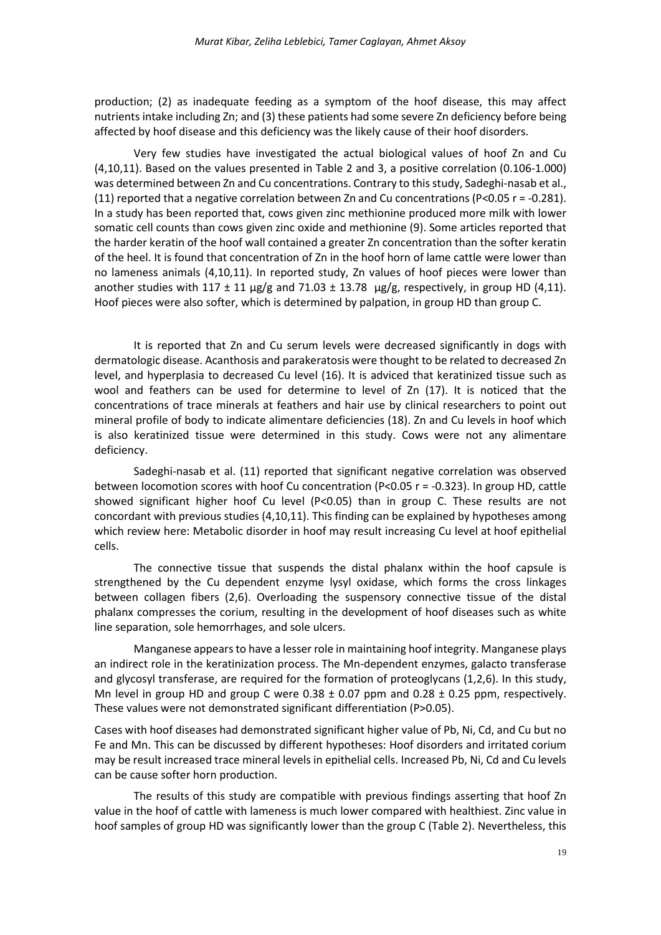production; (2) as inadequate feeding as a symptom of the hoof disease, this may affect nutrients intake including Zn; and (3) these patients had some severe Zn deficiency before being affected by hoof disease and this deficiency was the likely cause of their hoof disorders.

Very few studies have investigated the actual biological values of hoof Zn and Cu (4,10,11). Based on the values presented in Table 2 and 3, a positive correlation (0.106-1.000) was determined between Zn and Cu concentrations. Contrary to this study, Sadeghi-nasab et al., (11) reported that a negative correlation between Zn and Cu concentrations (P<0.05  $r = -0.281$ ). In a study has been reported that, cows given zinc methionine produced more milk with lower somatic cell counts than cows given zinc oxide and methionine (9). Some articles reported that the harder keratin of the hoof wall contained a greater Zn concentration than the softer keratin of the heel. It is found that concentration of Zn in the hoof horn of lame cattle were lower than no lameness animals (4,10,11). In reported study, Zn values of hoof pieces were lower than another studies with  $117 \pm 11 \,\mu g/g$  and  $71.03 \pm 13.78 \,\mu g/g$ , respectively, in group HD (4,11). Hoof pieces were also softer, which is determined by palpation, in group HD than group C.

It is reported that Zn and Cu serum levels were decreased significantly in dogs with dermatologic disease. Acanthosis and parakeratosis were thought to be related to decreased Zn level, and hyperplasia to decreased Cu level (16). It is adviced that keratinized tissue such as wool and feathers can be used for determine to level of Zn (17). It is noticed that the concentrations of trace minerals at feathers and hair use by clinical researchers to point out mineral profile of body to indicate alimentare deficiencies (18). Zn and Cu levels in hoof which is also keratinized tissue were determined in this study. Cows were not any alimentare deficiency.

Sadeghi-nasab et al. (11) reported that significant negative correlation was observed between locomotion scores with hoof Cu concentration (P˂0.05 r = -0.323). In group HD, cattle showed significant higher hoof Cu level (P˂0.05) than in group C. These results are not concordant with previous studies (4,10,11). This finding can be explained by hypotheses among which review here: Metabolic disorder in hoof may result increasing Cu level at hoof epithelial cells.

The connective tissue that suspends the distal phalanx within the hoof capsule is strengthened by the Cu dependent enzyme lysyl oxidase, which forms the cross linkages between collagen fibers (2,6). Overloading the suspensory connective tissue of the distal phalanx compresses the corium, resulting in the development of hoof diseases such as white line separation, sole hemorrhages, and sole ulcers.

Manganese appears to have a lesser role in maintaining hoof integrity. Manganese plays an indirect role in the keratinization process. The Mn-dependent enzymes, galacto transferase and glycosyl transferase, are required for the formation of proteoglycans (1,2,6). In this study, Mn level in group HD and group C were  $0.38 \pm 0.07$  ppm and  $0.28 \pm 0.25$  ppm, respectively. These values were not demonstrated significant differentiation (P>0.05).

Cases with hoof diseases had demonstrated significant higher value of Pb, Ni, Cd, and Cu but no Fe and Mn. This can be discussed by different hypotheses: Hoof disorders and irritated corium may be result increased trace mineral levels in epithelial cells. Increased Pb, Ni, Cd and Cu levels can be cause softer horn production.

The results of this study are compatible with previous findings asserting that hoof Zn value in the hoof of cattle with lameness is much lower compared with healthiest. Zinc value in hoof samples of group HD was significantly lower than the group C (Table 2). Nevertheless, this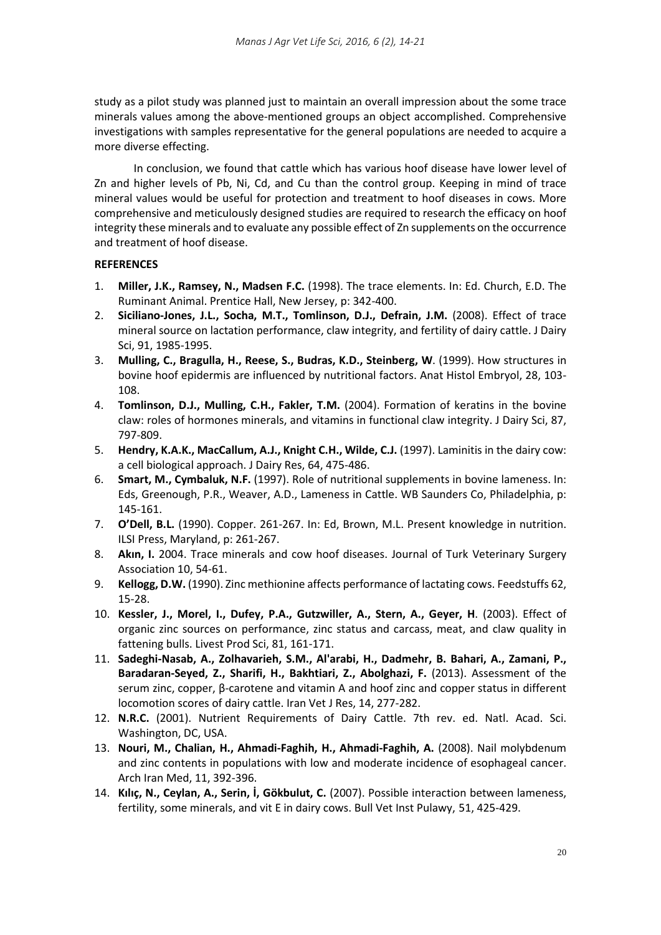study as a pilot study was planned just to maintain an overall impression about the some trace minerals values among the above-mentioned groups an object accomplished. Comprehensive investigations with samples representative for the general populations are needed to acquire a more diverse effecting.

In conclusion, we found that cattle which has various hoof disease have lower level of Zn and higher levels of Pb, Ni, Cd, and Cu than the control group. Keeping in mind of trace mineral values would be useful for protection and treatment to hoof diseases in cows. More comprehensive and meticulously designed studies are required to research the efficacy on hoof integrity these minerals and to evaluate any possible effect of Zn supplements on the occurrence and treatment of hoof disease.

# **REFERENCES**

- 1. **Miller, J.K., Ramsey, N., Madsen F.C.** (1998). The trace elements. In: Ed. Church, E.D. The Ruminant Animal. Prentice Hall, New Jersey, p: 342-400.
- 2. **Siciliano-Jones, J.L., Socha, M.T., Tomlinson, D.J., Defrain, J.M.** (2008). Effect of trace mineral source on lactation performance, claw integrity, and fertility of dairy cattle. J Dairy Sci, 91, 1985-1995.
- 3. **Mulling, C., Bragulla, H., Reese, S., Budras, K.D., Steinberg, W**. (1999). How structures in bovine hoof epidermis are influenced by nutritional factors. Anat Histol Embryol, 28, 103- 108.
- 4. **Tomlinson, D.J., Mulling, C.H., Fakler, T.M.** (2004). Formation of keratins in the bovine claw: roles of hormones minerals, and vitamins in functional claw integrity. J Dairy Sci, 87, 797-809.
- 5. **Hendry, K.A.K., MacCallum, A.J., Knight C.H., Wilde, C.J.** (1997). Laminitis in the dairy cow: a cell biological approach. J Dairy Res, 64, 475-486.
- 6. **Smart, M., Cymbaluk, N.F.** (1997). Role of nutritional supplements in bovine lameness. In: Eds, Greenough, P.R., Weaver, A.D., Lameness in Cattle. WB Saunders Co, Philadelphia, p: 145-161.
- 7. **O'Dell, B.L.** (1990). Copper. 261-267. In: Ed, Brown, M.L. Present knowledge in nutrition. ILSI Press, Maryland, p: 261-267.
- 8. **Akın, I.** 2004. Trace minerals and cow hoof diseases. Journal of Turk Veterinary Surgery Association 10, 54-61.
- 9. **Kellogg, D.W.** (1990). Zinc methionine affects performance of lactating cows. Feedstuffs 62, 15-28.
- 10. **Kessler, J., Morel, I., Dufey, P.A., Gutzwiller, A., Stern, A., Geyer, H**. (2003). Effect of organic zinc sources on performance, zinc status and carcass, meat, and claw quality in fattening bulls. Livest Prod Sci, 81, 161-171.
- 11. **Sadeghi-Nasab, A., Zolhavarieh, S.M., Al'arabi, H., Dadmehr, B. Bahari, A., Zamani, P., Baradaran-Seyed, Z., Sharifi, H., Bakhtiari, Z., Abolghazi, F.** (2013). Assessment of the serum zinc, copper, β-carotene and vitamin A and hoof zinc and copper status in different locomotion scores of dairy cattle. Iran Vet J Res, 14, 277-282.
- 12. **N.R.C.** (2001). Nutrient Requirements of Dairy Cattle. 7th rev. ed. Natl. Acad. Sci. Washington, DC, USA.
- 13. **Nouri, M., Chalian, H., Ahmadi-Faghih, H., Ahmadi-Faghih, A.** (2008). Nail molybdenum and zinc contents in populations with low and moderate incidence of esophageal cancer. Arch Iran Med, 11, 392-396.
- 14. **Kılıç, N., Ceylan, A., Serin, İ, Gökbulut, C.** (2007). Possible interaction between lameness, fertility, some minerals, and vit E in dairy cows. Bull Vet Inst Pulawy, 51, 425-429.